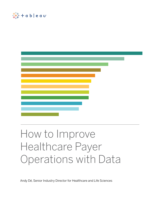



# How to Improve Healthcare Payer Operations with Data

Andy Dé, Senior Industry Director for Healthcare and Life Sciences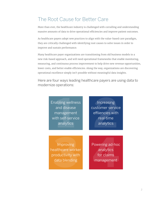# The Root Cause for Better Care

More than ever, the healthcare industry is challenged with corralling and understanding massive amounts of data to drive operational efficiencies and improve patient outcomes.

As healthcare payers adopt new practices to align with the value-based care paradigm, they are critically challenged with identifying root causes to solve issues in order to improve and sustain performance.

Many healthcare payer organizations are transitioning from old business models to a new risk-based approach, and will need operational frameworks that enable monitoring, measuring, and continuous process improvement to help drive new revenue opportunities, lower costs, and better enable efficiencies. Along the way, organizations are discovering operational excellence simply isn't possible without meaningful data insights.

Here are four ways leading healthcare payers are using data to modernize operations:

> **1bling welln**<br>11 disease<br>11 self-serv<br>11 self-serv<br>11 analytics Enabling wellness and disease management with self-service

analytics **2 Increasing** customer service effiiencies with real-time analytics

Improving<br>
althcare workeroductivity<br>
data blending<br>
data blending Improving healthcare worker productivity with

Improving<br>
ealthcare worker<br>
roductivity with<br>
data blending<br>
analytics<br>
management Powering ad-hoc analytics for claims management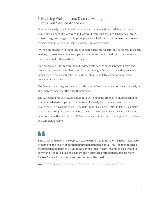#### 1. Enabling Wellness and Disease Management with Self-Service Analytics

Self-service analytics allow healthcare payers to access and find insights from public health data sources like Medicare and Medicaid. These insights are used by healthcare payers to segment, target, and improve population health to drive wellness and disease management initiatives for their customers—who are patients.

By enabling anyone with the ability to explore public health data, any nurse case manager, analyst, business leader, or even a patient can see and understand the current state and risks associated with a portfolio of diseases.

If an everyday citizen can access and review a self-service dashboard with health and disease information about their specific issue, demographic or zip code, they are more empowered to proactively take the next best steps to seek treatment or implement preventative measures.

The federal and state governments can also use self-service to monitor, measure, analyze and improve impact for their health programs.

The Blue Cross Blue Shield Association (BCBSA), a national group of 36 independent and community-based companies, used self-service analytics to deliver a new population health index in November of 2016. The Blue Cross Blue Shield Health Index<sup>SM</sup> is a unique metric illustrating the state of America's health. The health index is powered by claims data from more than 40 million BCBS members, and it measures the impact of more than 200 common diseases.

# 44

Blue Cross and Blue Shield companies are committed to transforming our healthcare system and the health of our nation through actionable data. This Health Index uses the breadth and depth of BCBS data to bring critical health insights to policymakers, community leaders, business leaders and healthcare professionals, helping them further focus efforts to improve their communities' health.

— SCOTT SEROTA, PRESIDENT AND CEO, BLUE CROSS BLUE SHIELD ASSOCIATION (BCBSA)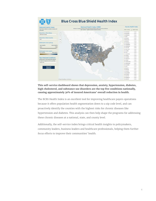

#### **This self-service dashboard shows that depression, anxiety, hypertension, diabetes, high cholesterol, and substance use disorders are the top five conditions nationally, causing approximately 30% of insured Americans' overall reduction in health.**

The BCBS Health Index is an excellent tool for improving healthcare payers operations because it offers population health segmentation down to a zip code level, and can proactively identify the counties with the highest risks for chronic diseases like hypertension and diabetes. This analysis can then help shape the programs for addressing these chronic diseases at a national, state, and county level.

Additionally, the self-service index brings critical health insights to policymakers, community leaders, business leaders and healthcare professionals, helping them further focus efforts to improve their communities' health.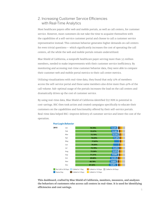#### 2. Increasing Customer Service Efficiencies with Real-Time Analytics

Most healthcare payers offer web and mobile portals, as well as call centers, for customer service. However, most customers do not take the time to acquaint themselves with the capabilities of a self-service customer portal and choose to call a customer service representative instead. This common behavior generates higher demands on call centers for even trivial questions— which significantly increases the cost of operating the call centers, all the while the web and mobile portals remain underutilized.

Blue Shield of California, a nonprofit healthcare payer serving more than 3.5 million members, needed to make improvements with their customer service inefficiency. By monitoring and accessing real-time customer behavior data, they were able to compare their customer web and mobile portal metrics to their call center metrics.

Utilizing visualizations with real-time data, they found that only 12% of members access the self-service portal and these same members also drive more than 40% of the call volume. Sub-optimal usage of the portals increases the load on the call centers and dramatically drives up the cost of customer service.

By using real-time data, Blue Shield of California identified \$57 MM in potential in cost-savings. BSC then took action and created campaigns specifically to educate their customers on the capabilities and functionality offered by their self-service portals. Real-time data helped BSC–improve delivery of customer service and lower the cost of the operation.





**This dashboard, crafted by Blue Shield of California, monitors, measures, and analyzes the behaviors of customers who access call centers in real-time. It is used for identifying efficiencies and cost savings.**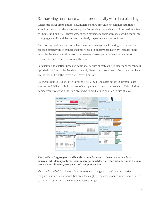#### 3. Improving healthcare worker productivity with data blending

Healthcare payer organizations accumulate massive amounts of customer data that's stored in silos across the entire enterprise. Connecting these islands of information is key to understanding a 360-degree view of each patient and their access to care. So the ability to aggregate and blend data across completely disparate data sources is key.

Empowering healthcare workers, like nurse case managers, with a single source of truth for each patient will offer more insights needed to improve productivity. Insights found with blended data can help nurse case managers better point patients to services or treatments, and reduce costs along the way.

For example, if a patient needs an additional service or test, a nurse case manager can pull up a dashboard with blended data to quickly discern what treatments the patient can have access too, and whether payers will cover it or not.

Blue Cross Blue Shield of North Carolina (BCBS NC) blends data across 13 different data sources, and delivers a holistic view of each patient to their case managers. This solution, named 'Minerva', was built from prototype to productized solution in just 90 days.

|                                                                                                                                                                                                                                                                                              | Activity and Profile for Member                                                                                       |                           | <b>Construction</b><br><b>DOWN PR</b><br>$\sim$                                                                                                                               |                                                   | MINERVA                                                                                                                                          |   |
|----------------------------------------------------------------------------------------------------------------------------------------------------------------------------------------------------------------------------------------------------------------------------------------------|-----------------------------------------------------------------------------------------------------------------------|---------------------------|-------------------------------------------------------------------------------------------------------------------------------------------------------------------------------|---------------------------------------------------|--------------------------------------------------------------------------------------------------------------------------------------------------|---|
| JOHN DOE                                                                                                                                                                                                                                                                                     |                                                                                                                       | POD                       | <b>Barnet</b><br>DARSE.<br>of Courses                                                                                                                                         | Caso Hanaponeet Flags.                            | Missionies the flag tion for additional behelt.                                                                                                  |   |
| Age Conduct Date of Date<br>$37 - 68$                                                                                                                                                                                                                                                        |                                                                                                                       |                           | <b>Rivers</b><br>S. March<br>@ DeeriDrivential contributors                                                                                                                   |                                                   |                                                                                                                                                  |   |
| <b>Long Phone No</b>                                                                                                                                                                                                                                                                         |                                                                                                                       |                           | <b>Salidaribus Delat</b>                                                                                                                                                      | Open Care Gaps                                    |                                                                                                                                                  |   |
|                                                                                                                                                                                                                                                                                              | Married                                                                                                               | ENNOVED                   | Dahambur                                                                                                                                                                      | Pulmonary                                         | Avoidance of Arditrofic Treatment in Adults With A.                                                                                              | ۰ |
| <b>Attributed PCP</b>                                                                                                                                                                                                                                                                        | Prestor<br>Imperial Center Family Medicine                                                                            |                           | POWER, ACO and, Sephent Description<br>The yealthest households in the US, living in the most exchange<br>Ves<br>tic.<br>netytoorhoods, and enjoying at that the two to offer |                                                   |                                                                                                                                                  |   |
| <b>LIGHT</b><br><b>Blue Oarloam HSA</b> ENGINE                                                                                                                                                                                                                                               | <b>Start Date: Coverage Phrasyn Can</b><br><b><i>Courses</i></b><br>120 USBN                                          |                           | Group or but. Please<br>wett Ter Cencry<br>Berefit Details<br>EMPLOYEE ONLY<br>Source                                                                                         |                                                   | Outpatient Activity - prior 36 months<br>Plasmativer file tails for see auxiliarial details.                                                     |   |
| <b>Group Name</b><br>BLUE CROSS & BLUE SHIELD OF<br>302<br>Predicted 12 Month                                                                                                                                                                                                                | <b>College Service</b><br>Lage (252 - 999 Eliphies) . A 50 GROUP - LOCAL<br>gationt Rian Score Titlel Cost Riak Score | <b>Product Syncretize</b> | Great Interlier!<br><b>Mail</b><br>Authorizations                                                                                                                             | <b><i>INTORIA</i></b><br><b>BEESTIM</b><br>steams | <b>WHEN DAMP<sup>T</sup> Diag Code</b><br>EMA . TEAR MED MEMOR INSEATING<br>ASLEY TRANSAND ARRANGEMENT CLOSE<br><b>WITH PARTICUL THERAPI KEC</b> |   |
| 59.726<br>0.82<br>161                                                                                                                                                                                                                                                                        |                                                                                                                       |                           | <b><i><u>ATIONAL EMAIL</u></i></b>                                                                                                                                            | TOVZINA<br><b>ATTITUA</b>                         | TYF 2 - TERMAS POST WICH RESISTING<br>Sai 1. SPRAK-HETHAL COLATURE                                                                               |   |
|                                                                                                                                                                                                                                                                                              |                                                                                                                       |                           |                                                                                                                                                                               |                                                   |                                                                                                                                                  |   |
|                                                                                                                                                                                                                                                                                              | Hedical Expense - YTD and Trailing 12 Months                                                                          |                           | TEARMONICUL 9/02014 9/102014<br><b>Suit</b><br>٠<br><b>MECZURNEN</b>                                                                                                          | <b><i>MARINE</i></b>                              | THAN PANON APPT LOWIN LES                                                                                                                        |   |
|                                                                                                                                                                                                                                                                                              | Trailing 12 Months<br>\$8,701.33                                                                                      | <b>YTD Expense</b>        | MITULIZED AT NO OVER 5.<br>AN TURNO OW TA, KTA RALLING<br>۰                                                                                                                   |                                                   | Inpations Activity - prior 36 months<br><b>Roomers at the bars follow administrate distalls</b>                                                  |   |
|                                                                                                                                                                                                                                                                                              | 3100.59                                                                                                               | 110039                    | ARR LINR GATRIA JOINT, WAS DIVINED                                                                                                                                            |                                                   |                                                                                                                                                  |   |
|                                                                                                                                                                                                                                                                                              | 1339.75                                                                                                               | 5433.07                   | MRI LAIR EXTRAE JOINT, WITH DOM?<br>am creft pictifativo jait subdivitie.                                                                                                     |                                                   | Rx Activity - prior 24 months<br>Passage of the lacs by see additional details.                                                                  |   |
|                                                                                                                                                                                                                                                                                              | \$10,701.71                                                                                                           | \$533.66                  | TACC ON TAL DA MATA3 RALL IRM                                                                                                                                                 |                                                   | Devoluty Play<br>Service Date: 47 Drug Name                                                                                                      |   |
|                                                                                                                                                                                                                                                                                              |                                                                                                                       |                           | <b>ETG Summary History</b>                                                                                                                                                    | <b>TENRICE</b><br><b><i><u>AFRICATE</u></i></b>   | <b><i>RUTEASONE PROPOSITE 16</i></b><br><b><i>ALIFCASTNE PROPONETE AL</i></b>                                                                    |   |
|                                                                                                                                                                                                                                                                                              | basement the circle to use additional Jetsels. Red indicates an DU recount                                            |                           |                                                                                                                                                                               | saces                                             | DOKYOVILIME HYDLATE<br>$\mathcal{N}$                                                                                                             |   |
|                                                                                                                                                                                                                                                                                              | <b>Service Description</b>                                                                                            |                           | <b>Start Dr. East Dr.</b><br><b>Clark Class Deer</b><br>3/05/2015<br>۰<br>2/25/28 tll.<br>Visual disturbances                                                                 |                                                   | <b>BURGASINE PROPOSUTE</b> N                                                                                                                     |   |
| Plannery                                                                                                                                                                                                                                                                                     | FLYTOATINE PROPOSATE                                                                                                  | ٥                         |                                                                                                                                                                               |                                                   | PROJECTION<br>$\mathbf{u}$                                                                                                                       |   |
| Plamany                                                                                                                                                                                                                                                                                      | EL-FICANOME PROFINANTE                                                                                                | ö                         | ۰<br>12090014 12090014 Roder exam                                                                                                                                             | <b>T050H4</b>                                     | SAMPENTIN<br>$\mathbb{N}$                                                                                                                        |   |
| Pharmany                                                                                                                                                                                                                                                                                     | <b>ODRFUTILINE VISILA'S</b>                                                                                           | $\circ$                   | <b>Render Notes from Care Radius</b>                                                                                                                                          |                                                   | INDANSETRON<br>$\sim$                                                                                                                            |   |
|                                                                                                                                                                                                                                                                                              | FLITCASINE PROFITANTS                                                                                                 | O                         | Noustrover the start to see such details.                                                                                                                                     |                                                   | cirvicolova vici.<br>$\sim$                                                                                                                      |   |
|                                                                                                                                                                                                                                                                                              | <b>FREDIGIOUS</b>                                                                                                     | ó                         |                                                                                                                                                                               | 26274                                             | <b>HIGHIGHT</b><br>$\alpha$                                                                                                                      |   |
| Padascased                                                                                                                                                                                                                                                                                   | <b>Chairman Edit Value</b>                                                                                            | ö                         |                                                                                                                                                                               | 12300010                                          | Afrikanon<br>$\lambda$                                                                                                                           |   |
| Pichisolanzi                                                                                                                                                                                                                                                                                 | <b>Vicen Coans</b>                                                                                                    | $\circ$                   |                                                                                                                                                                               | 12102013                                          | ATMORCH<br>$\mathbf{r}$                                                                                                                          |   |
| Parlyssing                                                                                                                                                                                                                                                                                   | Pierettys Mellons - Psychol Event                                                                                     | ó                         |                                                                                                                                                                               |                                                   |                                                                                                                                                  |   |
| Chippine                                                                                                                                                                                                                                                                                     | TRANSMIT MEMORY VARIETY AR                                                                                            | ö                         |                                                                                                                                                                               |                                                   |                                                                                                                                                  |   |
| Dolgation<br>Planning<br>Federalized<br><b>Grand Fotal</b><br>12 Henth Encounter History<br>Arthully Date <sup>ER</sup> Type of Service<br><b>TOYOTAS</b><br>AVAILABLE<br><b>ADMONSK</b><br>assars<br>sträsisteru<br><b>INTOINE</b><br><b>Integrity</b><br>Polleoning<br>scopita<br>Gasalant | Officertain EBIVista<br>TEAR VET MENSILVAES (UR                                                                       | ö<br>Ò                    |                                                                                                                                                                               |                                                   |                                                                                                                                                  |   |

#### **The dashboard aggregates and blends patient data from thirteen disparate data sources—like demographics, group coverage, benefits, risk information, claims history, program enrollments, care gaps, and group incentives.**

This single unified dashboard allows nurse case managers to quickly access patient insights in seconds, not hours. Not only does higher employee productivity ensure a better customer experience, it also improves costs savings.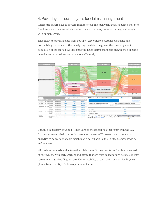#### 4. Powering ad-hoc analytics for claims management

Healthcare payers have to process millions of claims each year, and also screen these for fraud, waste, and abuse, which is often manual, tedious, time consuming, and fraught with human errors.

This involves capturing data from multiple, disconnected systems, cleansing and normalizing the data, and then analyzing the data to segment the covered patient population based on risk. Ad-hoc analytics helps claims managers answer their specific questions on a case-by-case basis more efficiently.



Optum, a subsidiary of United Health Care, is the largest healthcare payer in the U.S. Optum aggregates their claims data from its disparate IT systems, and uses ad-hoc analytics to deliver actionable insights on a daily basis to its C-suite, business leaders, and analysts.

With ad-hoc analysis and automation, claims monitoring now takes four hours instead of four weeks. With early warning indicators that are color coded for analysts to expedite resolutions, a Sankey diagram provides traceability of each claim by each facility/health plan between multiple Optum operational teams.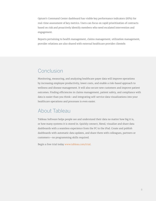Optum's Command Center dashboard has visible key performance indicators (KPIs) for real-time assessment of key metrics. Users can focus on rapid prioritization of contracts based on risk and proactively identify members who need escalated intervention and engagement.

Reports pertaining to health management, claims management, utilization management, provider relations are also shared with external healthcare provider clientele.

# Conclusion

Monitoring, measuring, and analyzing healthcare payer data will improve operations by increasing employee productivity, lower costs, and enable a risk-based approach to wellness and disease management. It will also secure new customers and improve patient outcomes. Finding efficiencies in claims management, patient safety, and compliance with data is easier than you think—and integrating self-service data visualizations into your healthcare operations and processes is even easier.

### About Tableau

Tableau Software helps people see and understand their data no matter how big it is, or how many systems it is stored in. Quickly connect, blend, visualize and share data dashboards with a seamless experience from the PC to the iPad. Create and publish dashboards with automatic data updates, and share them with colleagues, partners or customers—no programming skills required.

Begin a free trial today [www.tableau.com/trial.](http://www.tableau.com/trial)